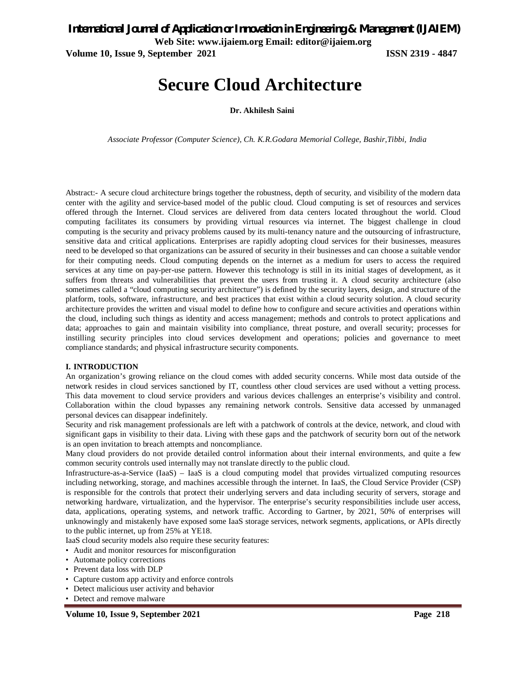**Web Site: www.ijaiem.org Email: editor@ijaiem.org Volume 10, Issue 9, September 2021 ISSN 2319 - 4847**

# **Secure Cloud Architecture**

**Dr. Akhilesh Saini**

*Associate Professor (Computer Science), Ch. K.R.Godara Memorial College, Bashir,Tibbi, India*

Abstract:- A secure cloud architecture brings together the robustness, depth of security, and visibility of the modern data center with the agility and service-based model of the public cloud. Cloud computing is set of resources and services offered through the Internet. Cloud services are delivered from data centers located throughout the world. Cloud computing facilitates its consumers by providing virtual resources via internet. The biggest challenge in cloud computing is the security and privacy problems caused by its multi-tenancy nature and the outsourcing of infrastructure, sensitive data and critical applications. Enterprises are rapidly adopting cloud services for their businesses, measures need to be developed so that organizations can be assured of security in their businesses and can choose a suitable vendor for their computing needs. Cloud computing depends on the internet as a medium for users to access the required services at any time on pay-per-use pattern. However this technology is still in its initial stages of development, as it suffers from threats and vulnerabilities that prevent the users from trusting it. A cloud security architecture (also sometimes called a "cloud computing security architecture") is defined by the security layers, design, and structure of the platform, tools, software, infrastructure, and best practices that exist within a cloud security solution. A cloud security architecture provides the written and visual model to define how to configure and secure activities and operations within the cloud, including such things as identity and access management; methods and controls to protect applications and data; approaches to gain and maintain visibility into compliance, threat posture, and overall security; processes for instilling security principles into cloud services development and operations; policies and governance to meet compliance standards; and physical infrastructure security components.

#### **I. INTRODUCTION**

An organization's growing reliance on the cloud comes with added security concerns. While most data outside of the network resides in cloud services sanctioned by IT, countless other cloud services are used without a vetting process. This data movement to cloud service providers and various devices challenges an enterprise's visibility and control. Collaboration within the cloud bypasses any remaining network controls. Sensitive data accessed by unmanaged personal devices can disappear indefinitely.

Security and risk management professionals are left with a patchwork of controls at the device, network, and cloud with significant gaps in visibility to their data. Living with these gaps and the patchwork of security born out of the network is an open invitation to breach attempts and noncompliance.

Many cloud providers do not provide detailed control information about their internal environments, and quite a few common security controls used internally may not translate directly to the public cloud.

Infrastructure-as-a-Service (IaaS) – IaaS is a cloud computing model that provides virtualized computing resources including networking, storage, and machines accessible through the internet. In IaaS, the Cloud Service Provider (CSP) is responsible for the controls that protect their underlying servers and data including security of servers, storage and networking hardware, virtualization, and the hypervisor. The enterprise's security responsibilities include user access, data, applications, operating systems, and network traffic. According to Gartner, by 2021, 50% of enterprises will unknowingly and mistakenly have exposed some IaaS storage services, network segments, applications, or APIs directly to the public internet, up from 25% at YE18.

IaaS cloud security models also require these security features:

- Audit and monitor resources for misconfiguration
- Automate policy corrections
- Prevent data loss with DLP
- Capture custom app activity and enforce controls
- Detect malicious user activity and behavior
- Detect and remove malware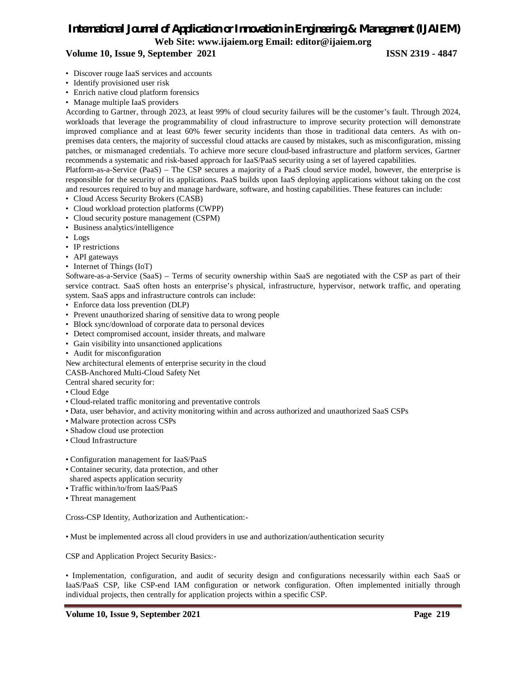**Volume 10, Issue 9, September 2021 ISSN 2319 - 4847** 

- Discover rouge IaaS services and accounts
- Identify provisioned user risk
- Enrich native cloud platform forensics
- Manage multiple IaaS providers

According to Gartner, through 2023, at least 99% of cloud security failures will be the customer's fault. Through 2024, workloads that leverage the programmability of cloud infrastructure to improve security protection will demonstrate improved compliance and at least 60% fewer security incidents than those in traditional data centers. As with onpremises data centers, the majority of successful cloud attacks are caused by mistakes, such as misconfiguration, missing patches, or mismanaged credentials. To achieve more secure cloud-based infrastructure and platform services, Gartner recommends a systematic and risk-based approach for IaaS/PaaS security using a set of layered capabilities.

Platform-as-a-Service (PaaS) – The CSP secures a majority of a PaaS cloud service model, however, the enterprise is responsible for the security of its applications. PaaS builds upon IaaS deploying applications without taking on the cost and resources required to buy and manage hardware, software, and hosting capabilities. These features can include:

- Cloud Access Security Brokers (CASB)
- Cloud workload protection platforms (CWPP)
- Cloud security posture management (CSPM)
- Business analytics/intelligence
- Logs
- IP restrictions
- API gateways
- Internet of Things (IoT)

Software-as-a-Service (SaaS) – Terms of security ownership within SaaS are negotiated with the CSP as part of their service contract. SaaS often hosts an enterprise's physical, infrastructure, hypervisor, network traffic, and operating system. SaaS apps and infrastructure controls can include:

- Enforce data loss prevention (DLP)
- Prevent unauthorized sharing of sensitive data to wrong people
- Block sync/download of corporate data to personal devices
- Detect compromised account, insider threats, and malware
- Gain visibility into unsanctioned applications
- Audit for misconfiguration
- New architectural elements of enterprise security in the cloud

CASB-Anchored Multi-Cloud Safety Net

- Central shared security for:
- Cloud Edge
- Cloud-related traffic monitoring and preventative controls
- Data, user behavior, and activity monitoring within and across authorized and unauthorized SaaS CSPs
- Malware protection across CSPs
- Shadow cloud use protection
- Cloud Infrastructure
- Configuration management for IaaS/PaaS
- Container security, data protection, and other shared aspects application security
- Traffic within/to/from IaaS/PaaS
- Threat management

Cross-CSP Identity, Authorization and Authentication:-

• Must be implemented across all cloud providers in use and authorization/authentication security

CSP and Application Project Security Basics:-

• Implementation, configuration, and audit of security design and configurations necessarily within each SaaS or IaaS/PaaS CSP, like CSP-end IAM configuration or network configuration. Often implemented initially through individual projects, then centrally for application projects within a specific CSP.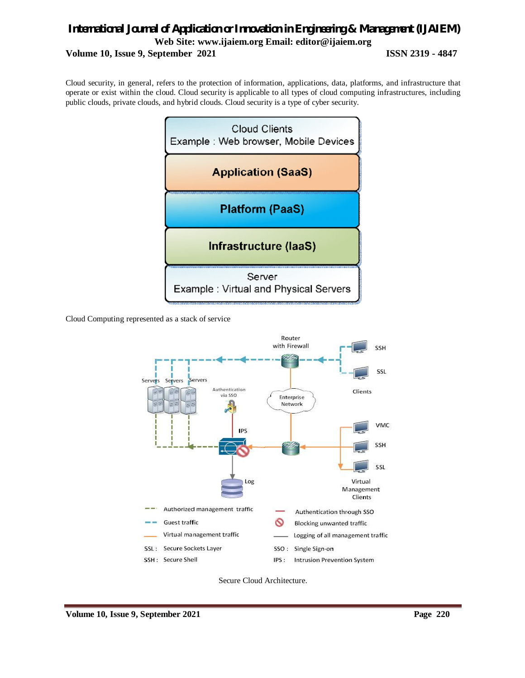### *International Journal of Application or Innovation in Engineering & Management (IJAIEM)* **Web Site: www.ijaiem.org Email: editor@ijaiem.org Volume 10, Issue 9, September 2021 ISSN 2319 - 4847**

Cloud security, in general, refers to the protection of information, applications, data, platforms, and infrastructure that operate or exist within the cloud. Cloud security is applicable to all types of cloud computing infrastructures, including public clouds, private clouds, and hybrid clouds. Cloud security is a type of cyber security.



Cloud Computing represented as a stack of service



Secure Cloud Architecture.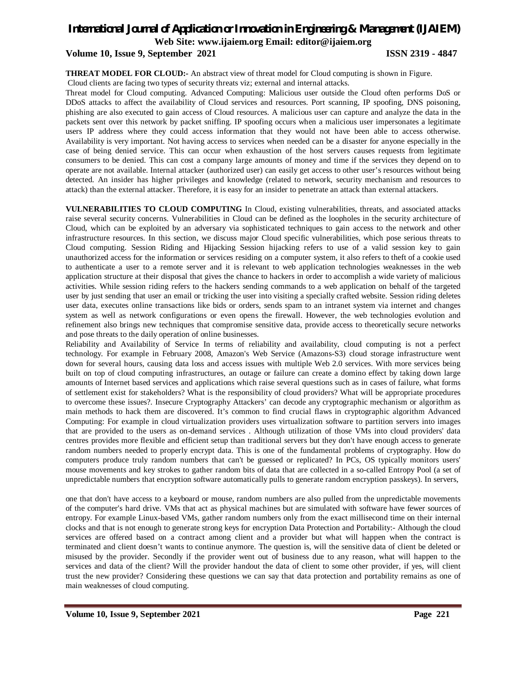#### **Volume 10, Issue 9, September 2021 ISSN 2319 - 4847**

**THREAT MODEL FOR CLOUD:-** An abstract view of threat model for Cloud computing is shown in Figure. Cloud clients are facing two types of security threats viz; external and internal attacks.

Threat model for Cloud computing. Advanced Computing: Malicious user outside the Cloud often performs DoS or DDoS attacks to affect the availability of Cloud services and resources. Port scanning, IP spoofing, DNS poisoning, phishing are also executed to gain access of Cloud resources. A malicious user can capture and analyze the data in the packets sent over this network by packet sniffing. IP spoofing occurs when a malicious user impersonates a legitimate users IP address where they could access information that they would not have been able to access otherwise. Availability is very important. Not having access to services when needed can be a disaster for anyone especially in the case of being denied service. This can occur when exhaustion of the host servers causes requests from legitimate consumers to be denied. This can cost a company large amounts of money and time if the services they depend on to operate are not available. Internal attacker (authorized user) can easily get access to other user's resources without being detected. An insider has higher privileges and knowledge (related to network, security mechanism and resources to attack) than the external attacker. Therefore, it is easy for an insider to penetrate an attack than external attackers.

**VULNERABILITIES TO CLOUD COMPUTING** In Cloud, existing vulnerabilities, threats, and associated attacks raise several security concerns. Vulnerabilities in Cloud can be defined as the loopholes in the security architecture of Cloud, which can be exploited by an adversary via sophisticated techniques to gain access to the network and other infrastructure resources. In this section, we discuss major Cloud specific vulnerabilities, which pose serious threats to Cloud computing. Session Riding and Hijacking Session hijacking refers to use of a valid session key to gain unauthorized access for the information or services residing on a computer system, it also refers to theft of a cookie used to authenticate a user to a remote server and it is relevant to web application technologies weaknesses in the web application structure at their disposal that gives the chance to hackers in order to accomplish a wide variety of malicious activities. While session riding refers to the hackers sending commands to a web application on behalf of the targeted user by just sending that user an email or tricking the user into visiting a specially crafted website. Session riding deletes user data, executes online transactions like bids or orders, sends spam to an intranet system via internet and changes system as well as network configurations or even opens the firewall. However, the web technologies evolution and refinement also brings new techniques that compromise sensitive data, provide access to theoretically secure networks and pose threats to the daily operation of online businesses.

Reliability and Availability of Service In terms of reliability and availability, cloud computing is not a perfect technology. For example in February 2008, Amazon's Web Service (Amazons-S3) cloud storage infrastructure went down for several hours, causing data loss and access issues with multiple Web 2.0 services. With more services being built on top of cloud computing infrastructures, an outage or failure can create a domino effect by taking down large amounts of Internet based services and applications which raise several questions such as in cases of failure, what forms of settlement exist for stakeholders? What is the responsibility of cloud providers? What will be appropriate procedures to overcome these issues?. Insecure Cryptography Attackers' can decode any cryptographic mechanism or algorithm as main methods to hack them are discovered. It's common to find crucial flaws in cryptographic algorithm Advanced Computing: For example in cloud virtualization providers uses virtualization software to partition servers into images that are provided to the users as on-demand services . Although utilization of those VMs into cloud providers' data centres provides more flexible and efficient setup than traditional servers but they don't have enough access to generate random numbers needed to properly encrypt data. This is one of the fundamental problems of cryptography. How do computers produce truly random numbers that can't be guessed or replicated? In PCs, OS typically monitors users' mouse movements and key strokes to gather random bits of data that are collected in a so-called Entropy Pool (a set of unpredictable numbers that encryption software automatically pulls to generate random encryption passkeys). In servers,

one that don't have access to a keyboard or mouse, random numbers are also pulled from the unpredictable movements of the computer's hard drive. VMs that act as physical machines but are simulated with software have fewer sources of entropy. For example Linux-based VMs, gather random numbers only from the exact millisecond time on their internal clocks and that is not enough to generate strong keys for encryption Data Protection and Portability:- Although the cloud services are offered based on a contract among client and a provider but what will happen when the contract is terminated and client doesn't wants to continue anymore. The question is, will the sensitive data of client be deleted or misused by the provider. Secondly if the provider went out of business due to any reason, what will happen to the services and data of the client? Will the provider handout the data of client to some other provider, if yes, will client trust the new provider? Considering these questions we can say that data protection and portability remains as one of main weaknesses of cloud computing.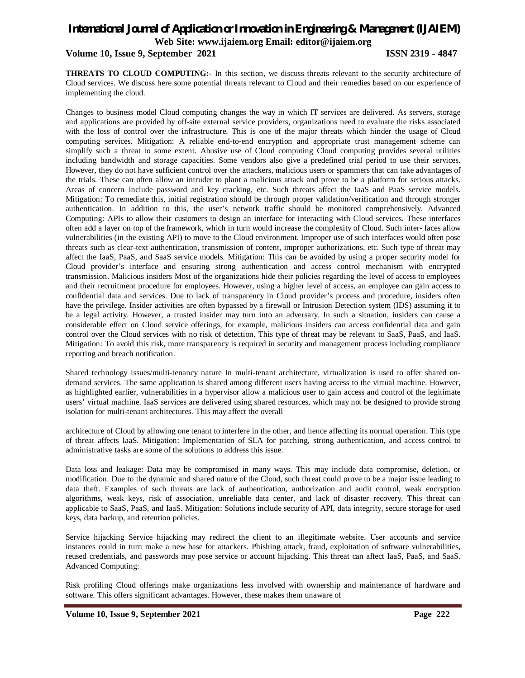## *International Journal of Application or Innovation in Engineering & Management (IJAIEM)*

**Web Site: www.ijaiem.org Email: editor@ijaiem.org**

**Volume 10, Issue 9, September 2021 ISSN 2319 - 4847**

**THREATS TO CLOUD COMPUTING:-** In this section, we discuss threats relevant to the security architecture of Cloud services. We discuss here some potential threats relevant to Cloud and their remedies based on our experience of implementing the cloud.

Changes to business model Cloud computing changes the way in which IT services are delivered. As servers, storage and applications are provided by off-site external service providers, organizations need to evaluate the risks associated with the loss of control over the infrastructure. This is one of the major threats which hinder the usage of Cloud computing services. Mitigation: A reliable end-to-end encryption and appropriate trust management scheme can simplify such a threat to some extent. Abusive use of Cloud computing Cloud computing provides several utilities including bandwidth and storage capacities. Some vendors also give a predefined trial period to use their services. However, they do not have sufficient control over the attackers, malicious users or spammers that can take advantages of the trials. These can often allow an intruder to plant a malicious attack and prove to be a platform for serious attacks. Areas of concern include password and key cracking, etc. Such threats affect the IaaS and PaaS service models. Mitigation: To remediate this, initial registration should be through proper validation/verification and through stronger authentication. In addition to this, the user's network traffic should be monitored comprehensively. Advanced Computing: APIs to allow their customers to design an interface for interacting with Cloud services. These interfaces often add a layer on top of the framework, which in turn would increase the complexity of Cloud. Such inter- faces allow vulnerabilities (in the existing API) to move to the Cloud environment. Improper use of such interfaces would often pose threats such as clear-text authentication, transmission of content, improper authorizations, etc. Such type of threat may affect the IaaS, PaaS, and SaaS service models. Mitigation: This can be avoided by using a proper security model for Cloud provider's interface and ensuring strong authentication and access control mechanism with encrypted transmission. Malicious insiders Most of the organizations hide their policies regarding the level of access to employees and their recruitment procedure for employees. However, using a higher level of access, an employee can gain access to confidential data and services. Due to lack of transparency in Cloud provider's process and procedure, insiders often have the privilege. Insider activities are often bypassed by a firewall or Intrusion Detection system (IDS) assuming it to be a legal activity. However, a trusted insider may turn into an adversary. In such a situation, insiders can cause a considerable effect on Cloud service offerings, for example, malicious insiders can access confidential data and gain control over the Cloud services with no risk of detection. This type of threat may be relevant to SaaS, PaaS, and IaaS. Mitigation: To avoid this risk, more transparency is required in security and management process including compliance reporting and breach notification.

Shared technology issues/multi-tenancy nature In multi-tenant architecture, virtualization is used to offer shared ondemand services. The same application is shared among different users having access to the virtual machine. However, as highlighted earlier, vulnerabilities in a hypervisor allow a malicious user to gain access and control of the legitimate users' virtual machine. IaaS services are delivered using shared resources, which may not be designed to provide strong isolation for multi-tenant architectures. This may affect the overall

architecture of Cloud by allowing one tenant to interfere in the other, and hence affecting its normal operation. This type of threat affects IaaS. Mitigation: Implementation of SLA for patching, strong authentication, and access control to administrative tasks are some of the solutions to address this issue.

Data loss and leakage: Data may be compromised in many ways. This may include data compromise, deletion, or modification. Due to the dynamic and shared nature of the Cloud, such threat could prove to be a major issue leading to data theft. Examples of such threats are lack of authentication, authorization and audit control, weak encryption algorithms, weak keys, risk of association, unreliable data center, and lack of disaster recovery. This threat can applicable to SaaS, PaaS, and IaaS. Mitigation: Solutions include security of API, data integrity, secure storage for used keys, data backup, and retention policies.

Service hijacking Service hijacking may redirect the client to an illegitimate website. User accounts and service instances could in turn make a new base for attackers. Phishing attack, fraud, exploitation of software vulnerabilities, reused credentials, and passwords may pose service or account hijacking. This threat can affect IaaS, PaaS, and SaaS. Advanced Computing:

Risk profiling Cloud offerings make organizations less involved with ownership and maintenance of hardware and software. This offers significant advantages. However, these makes them unaware of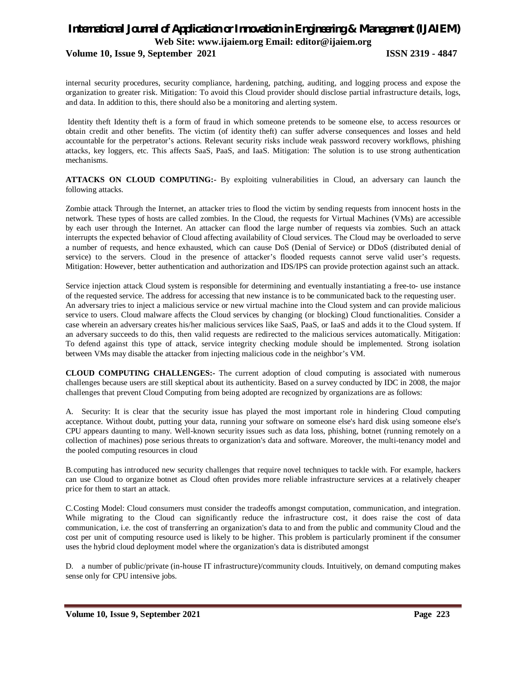**Volume 10, Issue 9, September 2021 ISSN 2319 - 4847**

internal security procedures, security compliance, hardening, patching, auditing, and logging process and expose the organization to greater risk. Mitigation: To avoid this Cloud provider should disclose partial infrastructure details, logs, and data. In addition to this, there should also be a monitoring and alerting system.

Identity theft Identity theft is a form of fraud in which someone pretends to be someone else, to access resources or obtain credit and other benefits. The victim (of identity theft) can suffer adverse consequences and losses and held accountable for the perpetrator's actions. Relevant security risks include weak password recovery workflows, phishing attacks, key loggers, etc. This affects SaaS, PaaS, and IaaS. Mitigation: The solution is to use strong authentication mechanisms.

**ATTACKS ON CLOUD COMPUTING:-** By exploiting vulnerabilities in Cloud, an adversary can launch the following attacks.

Zombie attack Through the Internet, an attacker tries to flood the victim by sending requests from innocent hosts in the network. These types of hosts are called zombies. In the Cloud, the requests for Virtual Machines (VMs) are accessible by each user through the Internet. An attacker can flood the large number of requests via zombies. Such an attack interrupts the expected behavior of Cloud affecting availability of Cloud services. The Cloud may be overloaded to serve a number of requests, and hence exhausted, which can cause DoS (Denial of Service) or DDoS (distributed denial of service) to the servers. Cloud in the presence of attacker's flooded requests cannot serve valid user's requests. Mitigation: However, better authentication and authorization and IDS/IPS can provide protection against such an attack.

Service injection attack Cloud system is responsible for determining and eventually instantiating a free-to- use instance of the requested service. The address for accessing that new instance is to be communicated back to the requesting user. An adversary tries to inject a malicious service or new virtual machine into the Cloud system and can provide malicious service to users. Cloud malware affects the Cloud services by changing (or blocking) Cloud functionalities. Consider a case wherein an adversary creates his/her malicious services like SaaS, PaaS, or IaaS and adds it to the Cloud system. If an adversary succeeds to do this, then valid requests are redirected to the malicious services automatically. Mitigation: To defend against this type of attack, service integrity checking module should be implemented. Strong isolation between VMs may disable the attacker from injecting malicious code in the neighbor's VM.

**CLOUD COMPUTING CHALLENGES:-** The current adoption of cloud computing is associated with numerous challenges because users are still skeptical about its authenticity. Based on a survey conducted by IDC in 2008, the major challenges that prevent Cloud Computing from being adopted are recognized by organizations are as follows:

A. Security: It is clear that the security issue has played the most important role in hindering Cloud computing acceptance. Without doubt, putting your data, running your software on someone else's hard disk using someone else's CPU appears daunting to many. Well-known security issues such as data loss, phishing, botnet (running remotely on a collection of machines) pose serious threats to organization's data and software. Moreover, the multi-tenancy model and the pooled computing resources in cloud

B.computing has introduced new security challenges that require novel techniques to tackle with. For example, hackers can use Cloud to organize botnet as Cloud often provides more reliable infrastructure services at a relatively cheaper price for them to start an attack.

C.Costing Model: Cloud consumers must consider the tradeoffs amongst computation, communication, and integration. While migrating to the Cloud can significantly reduce the infrastructure cost, it does raise the cost of data communication, i.e. the cost of transferring an organization's data to and from the public and community Cloud and the cost per unit of computing resource used is likely to be higher. This problem is particularly prominent if the consumer uses the hybrid cloud deployment model where the organization's data is distributed amongst

D. a number of public/private (in-house IT infrastructure)/community clouds. Intuitively, on demand computing makes sense only for CPU intensive jobs.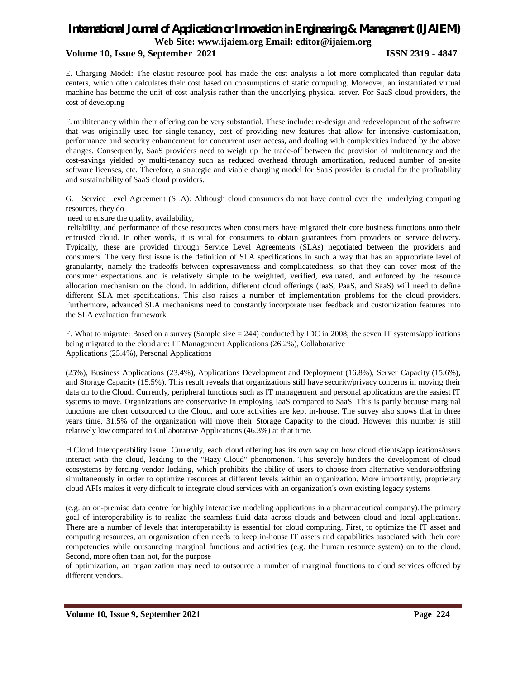#### **Volume 10, Issue 9, September 2021 ISSN 2319 - 4847**

E. Charging Model: The elastic resource pool has made the cost analysis a lot more complicated than regular data centers, which often calculates their cost based on consumptions of static computing. Moreover, an instantiated virtual machine has become the unit of cost analysis rather than the underlying physical server. For SaaS cloud providers, the cost of developing

F. multitenancy within their offering can be very substantial. These include: re-design and redevelopment of the software that was originally used for single-tenancy, cost of providing new features that allow for intensive customization, performance and security enhancement for concurrent user access, and dealing with complexities induced by the above changes. Consequently, SaaS providers need to weigh up the trade-off between the provision of multitenancy and the cost-savings yielded by multi-tenancy such as reduced overhead through amortization, reduced number of on-site software licenses, etc. Therefore, a strategic and viable charging model for SaaS provider is crucial for the profitability and sustainability of SaaS cloud providers.

G. Service Level Agreement (SLA): Although cloud consumers do not have control over the underlying computing resources, they do

need to ensure the quality, availability,

reliability, and performance of these resources when consumers have migrated their core business functions onto their entrusted cloud. In other words, it is vital for consumers to obtain guarantees from providers on service delivery. Typically, these are provided through Service Level Agreements (SLAs) negotiated between the providers and consumers. The very first issue is the definition of SLA specifications in such a way that has an appropriate level of granularity, namely the tradeoffs between expressiveness and complicatedness, so that they can cover most of the consumer expectations and is relatively simple to be weighted, verified, evaluated, and enforced by the resource allocation mechanism on the cloud. In addition, different cloud offerings (IaaS, PaaS, and SaaS) will need to define different SLA met specifications. This also raises a number of implementation problems for the cloud providers. Furthermore, advanced SLA mechanisms need to constantly incorporate user feedback and customization features into the SLA evaluation framework

E. What to migrate: Based on a survey (Sample size = 244) conducted by IDC in 2008, the seven IT systems/applications being migrated to the cloud are: IT Management Applications (26.2%), Collaborative Applications (25.4%), Personal Applications

(25%), Business Applications (23.4%), Applications Development and Deployment (16.8%), Server Capacity (15.6%), and Storage Capacity (15.5%). This result reveals that organizations still have security/privacy concerns in moving their data on to the Cloud. Currently, peripheral functions such as IT management and personal applications are the easiest IT systems to move. Organizations are conservative in employing IaaS compared to SaaS. This is partly because marginal functions are often outsourced to the Cloud, and core activities are kept in-house. The survey also shows that in three years time, 31.5% of the organization will move their Storage Capacity to the cloud. However this number is still relatively low compared to Collaborative Applications (46.3%) at that time.

H.Cloud Interoperability Issue: Currently, each cloud offering has its own way on how cloud clients/applications/users interact with the cloud, leading to the "Hazy Cloud" phenomenon. This severely hinders the development of cloud ecosystems by forcing vendor locking, which prohibits the ability of users to choose from alternative vendors/offering simultaneously in order to optimize resources at different levels within an organization. More importantly, proprietary cloud APIs makes it very difficult to integrate cloud services with an organization's own existing legacy systems

(e.g. an on-premise data centre for highly interactive modeling applications in a pharmaceutical company).The primary goal of interoperability is to realize the seamless fluid data across clouds and between cloud and local applications. There are a number of levels that interoperability is essential for cloud computing. First, to optimize the IT asset and computing resources, an organization often needs to keep in-house IT assets and capabilities associated with their core competencies while outsourcing marginal functions and activities (e.g. the human resource system) on to the cloud. Second, more often than not, for the purpose

of optimization, an organization may need to outsource a number of marginal functions to cloud services offered by different vendors.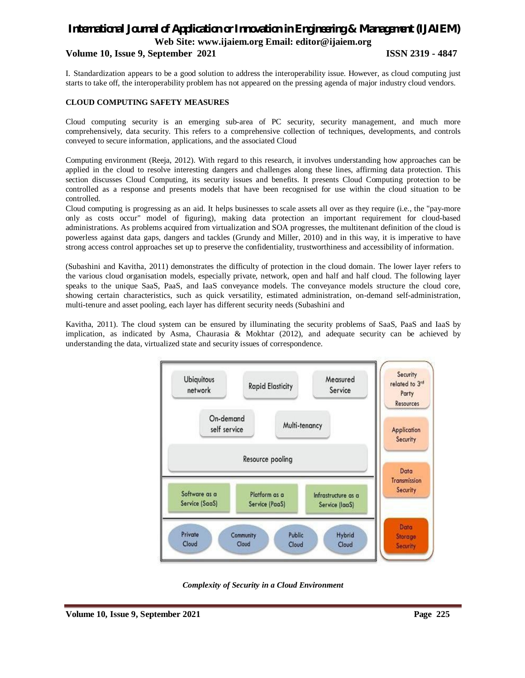#### **Volume 10, Issue 9, September 2021 ISSN 2319 - 4847**

I. Standardization appears to be a good solution to address the interoperability issue. However, as cloud computing just starts to take off, the interoperability problem has not appeared on the pressing agenda of major industry cloud vendors.

#### **CLOUD COMPUTING SAFETY MEASURES**

Cloud computing security is an emerging sub-area of PC security, security management, and much more comprehensively, data security. This refers to a comprehensive collection of techniques, developments, and controls conveyed to secure information, applications, and the associated Cloud

Computing environment (Reeja, 2012). With regard to this research, it involves understanding how approaches can be applied in the cloud to resolve interesting dangers and challenges along these lines, affirming data protection. This section discusses Cloud Computing, its security issues and benefits. It presents Cloud Computing protection to be controlled as a response and presents models that have been recognised for use within the cloud situation to be controlled.

Cloud computing is progressing as an aid. It helps businesses to scale assets all over as they require (i.e., the "pay-more only as costs occur" model of figuring), making data protection an important requirement for cloud-based administrations. As problems acquired from virtualization and SOA progresses, the multitenant definition of the cloud is powerless against data gaps, dangers and tackles (Grundy and Miller, 2010) and in this way, it is imperative to have strong access control approaches set up to preserve the confidentiality, trustworthiness and accessibility of information.

(Subashini and Kavitha, 2011) demonstrates the difficulty of protection in the cloud domain. The lower layer refers to the various cloud organisation models, especially private, network, open and half and half cloud. The following layer speaks to the unique SaaS, PaaS, and IaaS conveyance models. The conveyance models structure the cloud core, showing certain characteristics, such as quick versatility, estimated administration, on-demand self-administration, multi-tenure and asset pooling, each layer has different security needs (Subashini and

Kavitha, 2011). The cloud system can be ensured by illuminating the security problems of SaaS, PaaS and IaaS by implication, as indicated by Asma, Chaurasia & Mokhtar (2012), and adequate security can be achieved by understanding the data, virtualized state and security issues of correspondence.



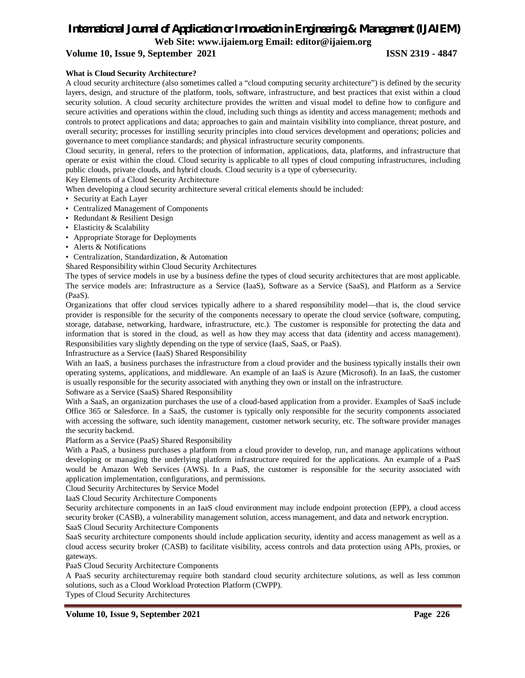## *International Journal of Application or Innovation in Engineering & Management (IJAIEM)*

**Web Site: www.ijaiem.org Email: editor@ijaiem.org**

#### **Volume 10, Issue 9, September 2021 ISSN 2319 - 4847**

#### **What is Cloud Security Architecture?**

A cloud security architecture (also sometimes called a "cloud computing security architecture") is defined by the security layers, design, and structure of the platform, tools, software, infrastructure, and best practices that exist within a cloud security solution. A cloud security architecture provides the written and visual model to define how to configure and secure activities and operations within the cloud, including such things as identity and access management; methods and controls to protect applications and data; approaches to gain and maintain visibility into compliance, threat posture, and overall security; processes for instilling security principles into cloud services development and operations; policies and governance to meet compliance standards; and physical infrastructure security components.

Cloud security, in general, refers to the protection of information, applications, data, platforms, and infrastructure that operate or exist within the cloud. Cloud security is applicable to all types of cloud computing infrastructures, including public clouds, private clouds, and hybrid clouds. Cloud security is a type of cybersecurity.

Key Elements of a Cloud Security Architecture

When developing a cloud security architecture several critical elements should be included:

- Security at Each Layer
- Centralized Management of Components
- Redundant & Resilient Design
- Elasticity & Scalability
- Appropriate Storage for Deployments
- Alerts & Notifications
- Centralization, Standardization, & Automation

Shared Responsibility within Cloud Security Architectures

The types of service models in use by a business define the types of cloud security architectures that are most applicable. The service models are: Infrastructure as a Service (IaaS), Software as a Service (SaaS), and Platform as a Service (PaaS).

Organizations that offer cloud services typically adhere to a shared responsibility model—that is, the cloud service provider is responsible for the security of the components necessary to operate the cloud service (software, computing, storage, database, networking, hardware, infrastructure, etc.). The customer is responsible for protecting the data and information that is stored in the cloud, as well as how they may access that data (identity and access management). Responsibilities vary slightly depending on the type of service (IaaS, SaaS, or PaaS).

Infrastructure as a Service (IaaS) Shared Responsibility

With an IaaS, a business purchases the infrastructure from a cloud provider and the business typically installs their own operating systems, applications, and middleware. An example of an IaaS is Azure (Microsoft). In an IaaS, the customer is usually responsible for the security associated with anything they own or install on the infrastructure.

Software as a Service (SaaS) Shared Responsibility

With a SaaS, an organization purchases the use of a cloud-based application from a provider. Examples of SaaS include Office 365 or Salesforce. In a SaaS, the customer is typically only responsible for the security components associated with accessing the software, such identity management, customer network security, etc. The software provider manages the security backend.

Platform as a Service (PaaS) Shared Responsibility

With a PaaS, a business purchases a platform from a cloud provider to develop, run, and manage applications without developing or managing the underlying platform infrastructure required for the applications. An example of a PaaS would be Amazon Web Services (AWS). In a PaaS, the customer is responsible for the security associated with application implementation, configurations, and permissions.

Cloud Security Architectures by Service Model

IaaS Cloud Security Architecture Components

Security architecture components in an IaaS cloud environment may include endpoint protection (EPP), a cloud access security broker (CASB), a vulnerability management solution, access management, and data and network encryption. SaaS Cloud Security Architecture Components

SaaS security architecture components should include application security, identity and access management as well as a cloud access security broker (CASB) to facilitate visibility, access controls and data protection using APIs, proxies, or gateways.

PaaS Cloud Security Architecture Components

A PaaS security architecturemay require both standard cloud security architecture solutions, as well as less common solutions, such as a Cloud Workload Protection Platform (CWPP).

Types of Cloud Security Architectures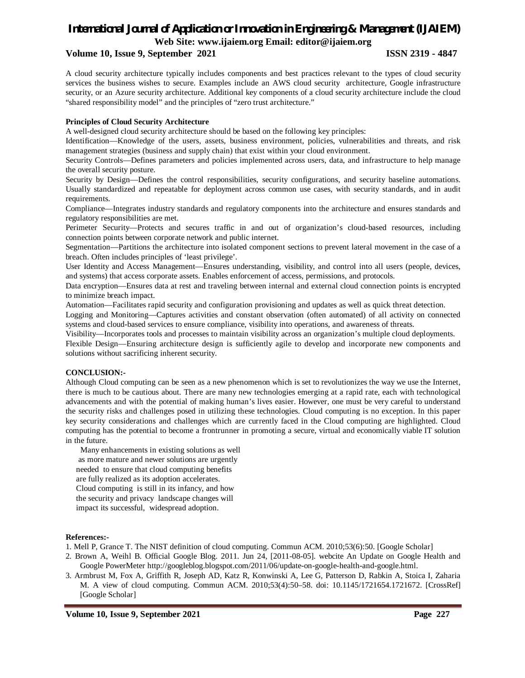# *International Journal of Application or Innovation in Engineering & Management (IJAIEM)*

**Web Site: www.ijaiem.org Email: editor@ijaiem.org**

#### **Volume 10, Issue 9, September 2021 ISSN 2319 - 4847**

A cloud security architecture typically includes components and best practices relevant to the types of cloud security services the business wishes to secure. Examples include an AWS cloud security architecture, Google infrastructure security, or an Azure security architecture. Additional key components of a cloud security architecture include the cloud "shared responsibility model" and the principles of "zero trust architecture."

### **Principles of Cloud Security Architecture**

A well-designed cloud security architecture should be based on the following key principles:

Identification—Knowledge of the users, assets, business environment, policies, vulnerabilities and threats, and risk management strategies (business and supply chain) that exist within your cloud environment.

Security Controls—Defines parameters and policies implemented across users, data, and infrastructure to help manage the overall security posture.

Security by Design—Defines the control responsibilities, security configurations, and security baseline automations. Usually standardized and repeatable for deployment across common use cases, with security standards, and in audit requirements.

Compliance—Integrates industry standards and regulatory components into the architecture and ensures standards and regulatory responsibilities are met.

Perimeter Security—Protects and secures traffic in and out of organization's cloud-based resources, including connection points between corporate network and public internet.

Segmentation—Partitions the architecture into isolated component sections to prevent lateral movement in the case of a breach. Often includes principles of 'least privilege'.

User Identity and Access Management—Ensures understanding, visibility, and control into all users (people, devices, and systems) that access corporate assets. Enables enforcement of access, permissions, and protocols.

Data encryption—Ensures data at rest and traveling between internal and external cloud connection points is encrypted to minimize breach impact.

Automation—Facilitates rapid security and configuration provisioning and updates as well as quick threat detection.

Logging and Monitoring—Captures activities and constant observation (often automated) of all activity on connected systems and cloud-based services to ensure compliance, visibility into operations, and awareness of threats.

Visibility—Incorporates tools and processes to maintain visibility across an organization's multiple cloud deployments.

Flexible Design—Ensuring architecture design is sufficiently agile to develop and incorporate new components and solutions without sacrificing inherent security.

### **CONCLUSION:-**

Although Cloud computing can be seen as a new phenomenon which is set to revolutionizes the way we use the Internet, there is much to be cautious about. There are many new technologies emerging at a rapid rate, each with technological advancements and with the potential of making human's lives easier. However, one must be very careful to understand the security risks and challenges posed in utilizing these technologies. Cloud computing is no exception. In this paper key security considerations and challenges which are currently faced in the Cloud computing are highlighted. Cloud computing has the potential to become a frontrunner in promoting a secure, virtual and economically viable IT solution in the future.

 Many enhancements in existing solutions as well as more mature and newer solutions are urgently needed to ensure that cloud computing benefits are fully realized as its adoption accelerates. Cloud computing is still in its infancy, and how the security and privacy landscape changes will impact its successful, widespread adoption.

### **References:-**

1. Mell P, Grance T. The NIST definition of cloud computing. Commun ACM. 2010;53(6):50. [Google Scholar]

- 2. Brown A, Weihl B. Official Google Blog. 2011. Jun 24, [2011-08-05]. webcite An Update on Google Health and Google PowerMeter http://googleblog.blogspot.com/2011/06/update-on-google-health-and-google.html.
- 3. Armbrust M, Fox A, Griffith R, Joseph AD, Katz R, Konwinski A, Lee G, Patterson D, Rabkin A, Stoica I, Zaharia M. A view of cloud computing. Commun ACM. 2010;53(4):50–58. doi: 10.1145/1721654.1721672. [CrossRef] [Google Scholar]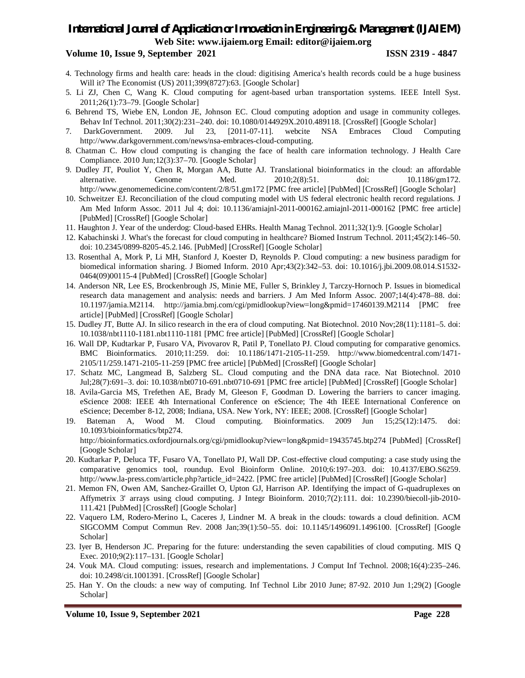- 4. Technology firms and health care: heads in the cloud: digitising America's health records could be a huge business Will it? The Economist (US) 2011;399(8727):63. [Google Scholar]
- 5. Li ZJ, Chen C, Wang K. Cloud computing for agent-based urban transportation systems. IEEE Intell Syst. 2011;26(1):73–79. [Google Scholar]
- 6. Behrend TS, Wiebe EN, London JE, Johnson EC. Cloud computing adoption and usage in community colleges. Behav Inf Technol. 2011;30(2):231–240. doi: 10.1080/0144929X.2010.489118. [CrossRef] [Google Scholar]
- 7. DarkGovernment. 2009. Jul 23, [2011-07-11]. webcite NSA Embraces Cloud Computing http://www.darkgovernment.com/news/nsa-embraces-cloud-computing.
- 8. Chatman C. How cloud computing is changing the face of health care information technology. J Health Care Compliance. 2010 Jun;12(3):37–70. [Google Scholar]
- 9. Dudley JT, Pouliot Y, Chen R, Morgan AA, Butte AJ. Translational bioinformatics in the cloud: an affordable alternative. Genome Med. 2010;2(8):51. doi: 10.1186/gm172. http://www.genomemedicine.com/content/2/8/51.gm172 [PMC free article] [PubMed] [CrossRef] [Google Scholar]
- 10. Schweitzer EJ. Reconciliation of the cloud computing model with US federal electronic health record regulations. J Am Med Inform Assoc. 2011 Jul 4; doi: 10.1136/amiajnl-2011-000162.amiajnl-2011-000162 [PMC free article] [PubMed] [CrossRef] [Google Scholar]
- 11. Haughton J. Year of the underdog: Cloud-based EHRs. Health Manag Technol. 2011;32(1):9. [Google Scholar]
- 12. Kabachinski J. What's the forecast for cloud computing in healthcare? Biomed Instrum Technol. 2011;45(2):146–50. doi: 10.2345/0899-8205-45.2.146. [PubMed] [CrossRef] [Google Scholar]
- 13. Rosenthal A, Mork P, Li MH, Stanford J, Koester D, Reynolds P. Cloud computing: a new business paradigm for biomedical information sharing. J Biomed Inform. 2010 Apr;43(2):342–53. doi: 10.1016/j.jbi.2009.08.014.S1532- 0464(09)00115-4 [PubMed] [CrossRef] [Google Scholar]
- 14. Anderson NR, Lee ES, Brockenbrough JS, Minie ME, Fuller S, Brinkley J, Tarczy-Hornoch P. Issues in biomedical research data management and analysis: needs and barriers. J Am Med Inform Assoc. 2007;14(4):478–88. doi: 10.1197/jamia.M2114. http://jamia.bmj.com/cgi/pmidlookup?view=long&pmid=17460139.M2114 [PMC free article] [PubMed] [CrossRef] [Google Scholar]
- 15. Dudley JT, Butte AJ. In silico research in the era of cloud computing. Nat Biotechnol. 2010 Nov;28(11):1181–5. doi: 10.1038/nbt1110-1181.nbt1110-1181 [PMC free article] [PubMed] [CrossRef] [Google Scholar]
- 16. Wall DP, Kudtarkar P, Fusaro VA, Pivovarov R, Patil P, Tonellato PJ. Cloud computing for comparative genomics. BMC Bioinformatics. 2010;11:259. doi: 10.1186/1471-2105-11-259. http://www.biomedcentral.com/1471- 2105/11/259.1471-2105-11-259 [PMC free article] [PubMed] [CrossRef] [Google Scholar]
- 17. Schatz MC, Langmead B, Salzberg SL. Cloud computing and the DNA data race. Nat Biotechnol. 2010 Jul;28(7):691–3. doi: 10.1038/nbt0710-691.nbt0710-691 [PMC free article] [PubMed] [CrossRef] [Google Scholar]
- 18. Avila-Garcia MS, Trefethen AE, Brady M, Gleeson F, Goodman D. Lowering the barriers to cancer imaging. eScience 2008: IEEE 4th International Conference on eScience; The 4th IEEE International Conference on eScience; December 8-12, 2008; Indiana, USA. New York, NY: IEEE; 2008. [CrossRef] [Google Scholar]
- 19. Bateman A, Wood M. Cloud computing. Bioinformatics. 2009 Jun 15;25(12):1475. doi: 10.1093/bioinformatics/btp274. http://bioinformatics.oxfordjournals.org/cgi/pmidlookup?view=long&pmid=19435745.btp274 [PubMed] [CrossRef]
- [Google Scholar] 20. Kudtarkar P, Deluca TF, Fusaro VA, Tonellato PJ, Wall DP. Cost-effective cloud computing: a case study using the comparative genomics tool, roundup. Evol Bioinform Online. 2010;6:197–203. doi: 10.4137/EBO.S6259. http://www.la-press.com/article.php?article\_id=2422. [PMC free article] [PubMed] [CrossRef] [Google Scholar]
- 21. Memon FN, Owen AM, Sanchez-Graillet O, Upton GJ, Harrison AP. Identifying the impact of G-quadruplexes on Affymetrix 3' arrays using cloud computing. J Integr Bioinform. 2010;7(2):111. doi: 10.2390/biecoll-jib-2010- 111.421 [PubMed] [CrossRef] [Google Scholar]
- 22. Vaquero LM, Rodero-Merino L, Caceres J, Lindner M. A break in the clouds: towards a cloud definition. ACM SIGCOMM Comput Commun Rev. 2008 Jan;39(1):50–55. doi: 10.1145/1496091.1496100. [CrossRef] [Google Scholar]
- 23. Iyer B, Henderson JC. Preparing for the future: understanding the seven capabilities of cloud computing. MIS Q Exec. 2010;9(2):117–131. [Google Scholar]
- 24. Vouk MA. Cloud computing: issues, research and implementations. J Comput Inf Technol. 2008;16(4):235–246. doi: 10.2498/cit.1001391. [CrossRef] [Google Scholar]
- 25. Han Y. On the clouds: a new way of computing. Inf Technol Libr 2010 June; 87-92. 2010 Jun 1;29(2) [Google Scholar]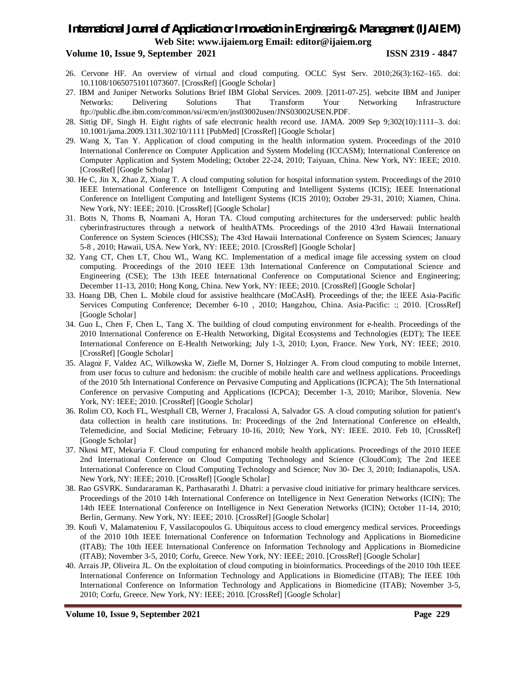- 26. Cervone HF. An overview of virtual and cloud computing. OCLC Syst Serv. 2010;26(3):162–165. doi: 10.1108/10650751011073607. [CrossRef] [Google Scholar]
- 27. IBM and Juniper Networks Solutions Brief IBM Global Services. 2009. [2011-07-25]. webcite IBM and Juniper Networks: Delivering Solutions That Transform Your Networking Infrastructure ftp://public.dhe.ibm.com/common/ssi/ecm/en/jns03002usen/JNS03002USEN.PDF.
- 28. Sittig DF, Singh H. Eight rights of safe electronic health record use. JAMA. 2009 Sep 9;302(10):1111–3. doi: 10.1001/jama.2009.1311.302/10/1111 [PubMed] [CrossRef] [Google Scholar]
- 29. Wang X, Tan Y. Application of cloud computing in the health information system. Proceedings of the 2010 International Conference on Computer Application and System Modeling (ICCASM); International Conference on Computer Application and System Modeling; October 22-24, 2010; Taiyuan, China. New York, NY: IEEE; 2010. [CrossRef] [Google Scholar]
- 30. He C, Jin X, Zhao Z, Xiang T. A cloud computing solution for hospital information system. Proceedings of the 2010 IEEE International Conference on Intelligent Computing and Intelligent Systems (ICIS); IEEE International Conference on Intelligent Computing and Intelligent Systems (ICIS 2010); October 29-31, 2010; Xiamen, China. New York, NY: IEEE; 2010. [CrossRef] [Google Scholar]
- 31. Botts N, Thoms B, Noamani A, Horan TA. Cloud computing architectures for the underserved: public health cyberinfrastructures through a network of healthATMs. Proceedings of the 2010 43rd Hawaii International Conference on System Sciences (HICSS); The 43rd Hawaii International Conference on System Sciences; January 5-8 , 2010; Hawaii, USA. New York, NY: IEEE; 2010. [CrossRef] [Google Scholar]
- 32. Yang CT, Chen LT, Chou WL, Wang KC. Implementation of a medical image file accessing system on cloud computing. Proceedings of the 2010 IEEE 13th International Conference on Computational Science and Engineering (CSE); The 13th IEEE International Conference on Computational Science and Engineering; December 11-13, 2010; Hong Kong, China. New York, NY: IEEE; 2010. [CrossRef] [Google Scholar]
- 33. Hoang DB, Chen L. Mobile cloud for assistive healthcare (MoCAsH). Proceedings of the; the IEEE Asia-Pacific Services Computing Conference; December 6-10 , 2010; Hangzhou, China. Asia-Pacific: :; 2010. [CrossRef] [Google Scholar]
- 34. Guo L, Chen F, Chen L, Tang X. The building of cloud computing environment for e-health. Proceedings of the 2010 International Conference on E-Health Networking, Digital Ecosystems and Technologies (EDT); The IEEE International Conference on E-Health Networking; July 1-3, 2010; Lyon, France. New York, NY: IEEE; 2010. [CrossRef] [Google Scholar]
- 35. Alagoz F, Valdez AC, Wilkowska W, Ziefle M, Dorner S, Holzinger A. From cloud computing to mobile Internet, from user focus to culture and hedonism: the crucible of mobile health care and wellness applications. Proceedings of the 2010 5th International Conference on Pervasive Computing and Applications (ICPCA); The 5th International Conference on pervasive Computing and Applications (ICPCA); December 1-3, 2010; Maribor, Slovenia. New York, NY: IEEE; 2010. [CrossRef] [Google Scholar]
- 36. Rolim CO, Koch FL, Westphall CB, Werner J, Fracalossi A, Salvador GS. A cloud computing solution for patient's data collection in health care institutions. In: Proceedings of the 2nd International Conference on eHealth, Telemedicine, and Social Medicine; February 10-16, 2010; New York, NY: IEEE. 2010. Feb 10, [CrossRef] [Google Scholar]
- 37. Nkosi MT, Mekuria F. Cloud computing for enhanced mobile health applications. Proceedings of the 2010 IEEE 2nd International Conference on Cloud Computing Technology and Science (CloudCom); The 2nd IEEE International Conference on Cloud Computing Technology and Science; Nov 30- Dec 3, 2010; Indianapolis, USA. New York, NY: IEEE; 2010. [CrossRef] [Google Scholar]
- 38. Rao GSVRK. Sundararaman K, Parthasarathi J. Dhatri: a pervasive cloud initiative for primary healthcare services. Proceedings of the 2010 14th International Conference on Intelligence in Next Generation Networks (ICIN); The 14th IEEE International Conference on Intelligence in Next Generation Networks (ICIN); October 11-14, 2010; Berlin, Germany. New York, NY: IEEE; 2010. [CrossRef] [Google Scholar]
- 39. Koufi V, Malamateniou F, Vassilacopoulos G. Ubiquitous access to cloud emergency medical services. Proceedings of the 2010 10th IEEE International Conference on Information Technology and Applications in Biomedicine (ITAB); The 10th IEEE International Conference on Information Technology and Applications in Biomedicine (ITAB); November 3-5, 2010; Corfu, Greece. New York, NY: IEEE; 2010. [CrossRef] [Google Scholar]
- 40. Arrais JP, Oliveira JL. On the exploitation of cloud computing in bioinformatics. Proceedings of the 2010 10th IEEE International Conference on Information Technology and Applications in Biomedicine (ITAB); The IEEE 10th International Conference on Information Technology and Applications in Biomedicine (ITAB); November 3-5, 2010; Corfu, Greece. New York, NY: IEEE; 2010. [CrossRef] [Google Scholar]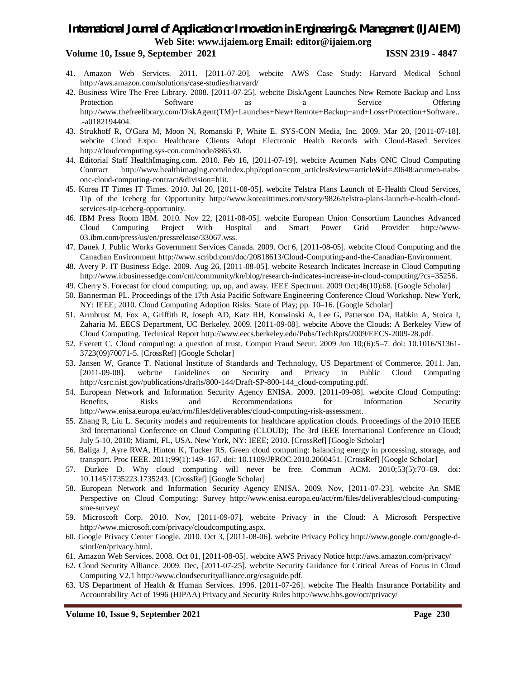- 41. Amazon Web Services. 2011. [2011-07-20]. webcite AWS Case Study: Harvard Medical School http://aws.amazon.com/solutions/case-studies/harvard/
- 42. Business Wire The Free Library. 2008. [2011-07-25]. webcite DiskAgent Launches New Remote Backup and Loss Protection Software as a Service Offering http://www.thefreelibrary.com/DiskAgent(TM)+Launches+New+Remote+Backup+and+Loss+Protection+Software.. .-a0182194404.
- 43. Strukhoff R, O'Gara M, Moon N, Romanski P, White E. SYS-CON Media, Inc. 2009. Mar 20, [2011-07-18]. webcite Cloud Expo: Healthcare Clients Adopt Electronic Health Records with Cloud-Based Services http://cloudcomputing.sys-con.com/node/886530.
- 44. Editorial Staff HealthImaging.com. 2010. Feb 16, [2011-07-19]. webcite Acumen Nabs ONC Cloud Computing Contract http://www.healthimaging.com/index.php?option=com\_articles&view=article&id=20648:acumen-nabsonc-cloud-computing-contract&division=hiit.
- 45. Korea IT Times IT Times. 2010. Jul 20, [2011-08-05]. webcite Telstra Plans Launch of E-Health Cloud Services, Tip of the Iceberg for Opportunity http://www.koreaittimes.com/story/9826/telstra-plans-launch-e-health-cloudservices-tip-iceberg-opportunity.
- 46. IBM Press Room IBM. 2010. Nov 22, [2011-08-05]. webcite European Union Consortium Launches Advanced Cloud Computing Project With Hospital and Smart Power Grid Provider http://www-03.ibm.com/press/us/en/pressrelease/33067.wss.
- 47. Danek J. Public Works Government Services Canada. 2009. Oct 6, [2011-08-05]. webcite Cloud Computing and the Canadian Environment http://www.scribd.com/doc/20818613/Cloud-Computing-and-the-Canadian-Environment.
- 48. Avery P. IT Business Edge. 2009. Aug 26, [2011-08-05]. webcite Research Indicates Increase in Cloud Computing http://www.itbusinessedge.com/cm/community/kn/blog/research-indicates-increase-in-cloud-computing/?cs=35256.
- 49. Cherry S. Forecast for cloud computing: up, up, and away. IEEE Spectrum. 2009 Oct;46(10):68. [Google Scholar]
- 50. Bannerman PL. Proceedings of the 17th Asia Pacific Software Engineering Conference Cloud Workshop. New York, NY: IEEE; 2010. Cloud Computing Adoption Risks: State of Play; pp. 10–16. [Google Scholar]
- 51. Armbrust M, Fox A, Griffith R, Joseph AD, Katz RH, Konwinski A, Lee G, Patterson DA, Rabkin A, Stoica I, Zaharia M. EECS Department, UC Berkeley. 2009. [2011-09-08]. webcite Above the Clouds: A Berkeley View of Cloud Computing. Technical Report http://www.eecs.berkeley.edu/Pubs/TechRpts/2009/EECS-2009-28.pdf.
- 52. Everett C. Cloud computing: a question of trust. Comput Fraud Secur. 2009 Jun 10;(6):5–7. doi: 10.1016/S1361- 3723(09)70071-5. [CrossRef] [Google Scholar]
- 53. Jansen W, Grance T. National Institute of Standards and Technology, US Department of Commerce. 2011. Jan, [2011-09-08]. webcite Guidelines on Security and Privacy in Public Cloud Computing http://csrc.nist.gov/publications/drafts/800-144/Draft-SP-800-144\_cloud-computing.pdf.
- 54. European Network and Information Security Agency ENISA. 2009. [2011-09-08]. webcite Cloud Computing: Benefits, Risks and Recommendations for Information Security http://www.enisa.europa.eu/act/rm/files/deliverables/cloud-computing-risk-assessment.
- 55. Zhang R, Liu L. Security models and requirements for healthcare application clouds. Proceedings of the 2010 IEEE 3rd International Conference on Cloud Computing (CLOUD); The 3rd IEEE International Conference on Cloud; July 5-10, 2010; Miami, FL, USA. New York, NY: IEEE; 2010. [CrossRef] [Google Scholar]
- 56. Baliga J, Ayre RWA, Hinton K, Tucker RS. Green cloud computing: balancing energy in processing, storage, and transport. Proc IEEE. 2011;99(1):149–167. doi: 10.1109/JPROC.2010.2060451. [CrossRef] [Google Scholar]
- 57. Durkee D. Why cloud computing will never be free. Commun ACM. 2010;53(5):70–69. doi: 10.1145/1735223.1735243. [CrossRef] [Google Scholar]
- 58. European Network and Information Security Agency ENISA. 2009. Nov, [2011-07-23]. webcite An SME Perspective on Cloud Computing: Survey http://www.enisa.europa.eu/act/rm/files/deliverables/cloud-computingsme-survey/
- 59. Microscoft Corp. 2010. Nov, [2011-09-07]. webcite Privacy in the Cloud: A Microsoft Perspective http://www.microsoft.com/privacy/cloudcomputing.aspx.
- 60. Google Privacy Center Google. 2010. Oct 3, [2011-08-06]. webcite Privacy Policy http://www.google.com/google-ds/intl/en/privacy.html.
- 61. Amazon Web Services. 2008. Oct 01, [2011-08-05]. webcite AWS Privacy Notice http://aws.amazon.com/privacy/
- 62. Cloud Security Alliance. 2009. Dec, [2011-07-25]. webcite Security Guidance for Critical Areas of Focus in Cloud Computing V2.1 http://www.cloudsecurityalliance.org/csaguide.pdf.
- 63. US Department of Health & Human Services. 1996. [2011-07-26]. webcite The Health Insurance Portability and Accountability Act of 1996 (HIPAA) Privacy and Security Rules http://www.hhs.gov/ocr/privacy/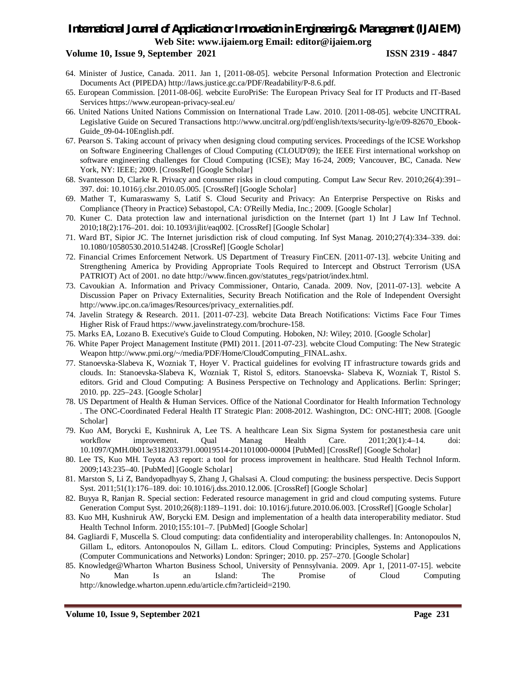- 64. Minister of Justice, Canada. 2011. Jan 1, [2011-08-05]. webcite Personal Information Protection and Electronic Documents Act (PIPEDA) http://laws.justice.gc.ca/PDF/Readability/P-8.6.pdf.
- 65. European Commission. [2011-08-06]. webcite EuroPriSe: The European Privacy Seal for IT Products and IT-Based Services https://www.european-privacy-seal.eu/
- 66. United Nations United Nations Commission on International Trade Law. 2010. [2011-08-05]. webcite UNCITRAL Legislative Guide on Secured Transactions http://www.uncitral.org/pdf/english/texts/security-lg/e/09-82670\_Ebook-Guide\_09-04-10English.pdf.
- 67. Pearson S. Taking account of privacy when designing cloud computing services. Proceedings of the ICSE Workshop on Software Engineering Challenges of Cloud Computing (CLOUD'09); the IEEE First international workshop on software engineering challenges for Cloud Computing (ICSE); May 16-24, 2009; Vancouver, BC, Canada. New York, NY: IEEE; 2009. [CrossRef] [Google Scholar]
- 68. Svantesson D, Clarke R. Privacy and consumer risks in cloud computing. Comput Law Secur Rev. 2010;26(4):391– 397. doi: 10.1016/j.clsr.2010.05.005. [CrossRef] [Google Scholar]
- 69. Mather T, Kumaraswamy S, Latif S. Cloud Security and Privacy: An Enterprise Perspective on Risks and Compliance (Theory in Practice) Sebastopol, CA: O'Reilly Media, Inc.; 2009. [Google Scholar]
- 70. Kuner C. Data protection law and international jurisdiction on the Internet (part 1) Int J Law Inf Technol. 2010;18(2):176–201. doi: 10.1093/ijlit/eaq002. [CrossRef] [Google Scholar]
- 71. Ward BT, Sipior JC. The Internet jurisdiction risk of cloud computing. Inf Syst Manag. 2010;27(4):334–339. doi: 10.1080/10580530.2010.514248. [CrossRef] [Google Scholar]
- 72. Financial Crimes Enforcement Network. US Department of Treasury FinCEN. [2011-07-13]. webcite Uniting and Strengthening America by Providing Appropriate Tools Required to Intercept and Obstruct Terrorism (USA PATRIOT) Act of 2001. no date http://www.fincen.gov/statutes\_regs/patriot/index.html.
- 73. Cavoukian A. Information and Privacy Commissioner, Ontario, Canada. 2009. Nov, [2011-07-13]. webcite A Discussion Paper on Privacy Externalities, Security Breach Notification and the Role of Independent Oversight http://www.ipc.on.ca/images/Resources/privacy\_externalities.pdf.
- 74. Javelin Strategy & Research. 2011. [2011-07-23]. webcite Data Breach Notifications: Victims Face Four Times Higher Risk of Fraud https://www.javelinstrategy.com/brochure-158.
- 75. Marks EA, Lozano B. Executive's Guide to Cloud Computing. Hoboken, NJ: Wiley; 2010. [Google Scholar]
- 76. White Paper Project Management Institute (PMI) 2011. [2011-07-23]. webcite Cloud Computing: The New Strategic Weapon http://www.pmi.org/~/media/PDF/Home/CloudComputing\_FINAL.ashx.
- 77. Stanoevska-Slabeva K, Wozniak T, Hoyer V. Practical guidelines for evolving IT infrastructure towards grids and clouds. In: Stanoevska-Slabeva K, Wozniak T, Ristol S, editors. Stanoevska- Slabeva K, Wozniak T, Ristol S. editors. Grid and Cloud Computing: A Business Perspective on Technology and Applications. Berlin: Springer; 2010. pp. 225–243. [Google Scholar]
- 78. US Department of Health & Human Services. Office of the National Coordinator for Health Information Technology . The ONC-Coordinated Federal Health IT Strategic Plan: 2008-2012. Washington, DC: ONC-HIT; 2008. [Google Scholar]
- 79. Kuo AM, Borycki E, Kushniruk A, Lee TS. A healthcare Lean Six Sigma System for postanesthesia care unit workflow improvement. Qual Manag Health Care. 2011;20(1):4–14. doi: 10.1097/QMH.0b013e3182033791.00019514-201101000-00004 [PubMed] [CrossRef] [Google Scholar]
- 80. Lee TS, Kuo MH. Toyota A3 report: a tool for process improvement in healthcare. Stud Health Technol Inform. 2009;143:235–40. [PubMed] [Google Scholar]
- 81. Marston S, Li Z, Bandyopadhyay S, Zhang J, Ghalsasi A. Cloud computing: the business perspective. Decis Support Syst. 2011;51(1):176–189. doi: 10.1016/j.dss.2010.12.006. [CrossRef] [Google Scholar]
- 82. Buyya R, Ranjan R. Special section: Federated resource management in grid and cloud computing systems. Future Generation Comput Syst. 2010;26(8):1189–1191. doi: 10.1016/j.future.2010.06.003. [CrossRef] [Google Scholar]
- 83. Kuo MH, Kushniruk AW, Borycki EM. Design and implementation of a health data interoperability mediator. Stud Health Technol Inform. 2010;155:101-7. [PubMed] [Google Scholar]
- 84. Gagliardi F, Muscella S. Cloud computing: data confidentiality and interoperability challenges. In: Antonopoulos N, Gillam L, editors. Antonopoulos N, Gillam L. editors. Cloud Computing: Principles, Systems and Applications (Computer Communications and Networks) London: Springer; 2010. pp. 257–270. [Google Scholar]
- 85. Knowledge@Wharton Wharton Business School, University of Pennsylvania. 2009. Apr 1, [2011-07-15]. webcite No Man Is an Island: The Promise of Cloud Computing http://knowledge.wharton.upenn.edu/article.cfm?articleid=2190.